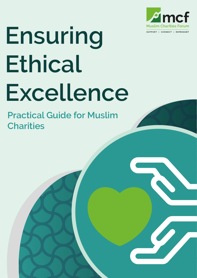

## **Ensuring Ethical Excellence**

**Practical Guide for Muslim Charities**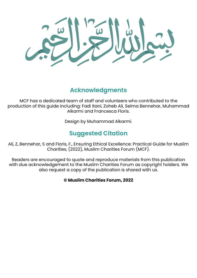#### **Acknowledgments**

MCF has a dedicated team of staff and volunteers who contributed to the production of this guide including: Fadi Itani, Zoheb Ali, Selma Bennehar, Muhammad Alkarmi and Francesca Floris.

Design by Muhammad Alkarmi.

#### **Suggested Citation**

Ali, Z, Bennehar, S and Floris, F., Ensuring Ethical Excellence: Practical Guide for Muslim Charities, (2022), Muslim Charities Forum (MCF).

Readers are encouraged to quote and reproduce materials from this publication with due acknowledgement to the Muslim Charities Forum as copyright holders. We also request a copy of the publication is shared with us.

#### **© Muslim Charities Forum, 2022**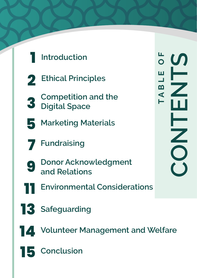



- **2 Ethical Principles**
- **3 Competition and the Digital Space**
- **5 Marketing Materials**
- **7 Fundraising**
- **9 Donor Acknowledgment and Relations**
- **11 Environmental Considerations**
- **13 Safeguarding**
- 
- **14 Volunteer Management and Welfare**
- **15 Conclusion**

 $\frac{1}{\circ}$   $\omega$ **TABLE OF CONTENTS** ≞ ≝ A B Z  $\blacksquare$ Н ⊢ **NOO**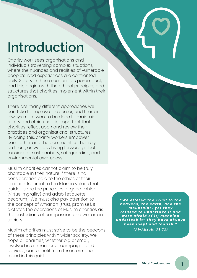## **Introduction**

Charity work sees organisations and individuals traversing complex situations, where the nuances and realities of vulnerable people's lived experiences are confronted daily. Safety in these scenarios is paramount, and this begins with the ethical principles and structures that charities implement within their organisations.

There are many different approaches we can take to improve the sector, and there is always more work to be done to maintain safety and ethics, so it is important that charities reflect upon and review their practices and organisational structures. By doing this, charity workers empower each other and the communities that rely on them, as well as driving forward global missions of sustainability, safeguarding, and environmental awareness.

Muslim charities cannot claim to be truly charitable in their nature if there is no consideration paid to the ethics of their practice. Inherent to the Islamic values that guide us are the principles of good akhlaq (virtue, morality) and adab (etiquette, decorum). We must also pay attention to the concept of Amanah (trust, promise). It dictates the operations of Muslim charities as the custodians of compassion and welfare in society.

Muslim charities must strive to be the beacons of these principles within wider society. We hope all charities, whether big or small, involved in all manner of campaigns and services, can benefit from the information found in this guide.

*" W e o f f e r e d t h e T r u s t t o t h e h e a v e n s , t h e e a r t h , a n d t h e m o u n t a i n s , y e t t h e y r e f u s e d t o u n d e r t a k e i t a n d were afraid of it; mankind u n d e r t o o k i t - t h e y h a v e a l w a y s been inept and foolish." (Al-Ahzab, 33:72)*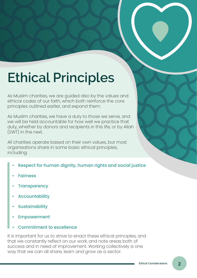## **Ethical Principles**

As Muslim charities, we are guided also by the values and ethical codes of our faith, which both reinforce the core principles outlined earlier, and expand them.

As Muslim charities, we have a duty to those we serve, and we will be held accountable for how well we practice that duty, whether by donors and recipients in this life, or by Allah (SWT) in the next.

All charities operate based on their own values, but most organisations share in some basic ethical principles, including:

- Respect for human dignity, human rights and social justice
- **Fairness**
- **Transparency**
- **Accountability**
- **Sustainability**
- **Empowerment**
- Commitment to excellence

It is important for us to strive to enact these ethical principles, and that we constantly reflect on our work, and note areas both of success and in need of improvement. Working collectively is one way that we can all share, learn and grow as a sector.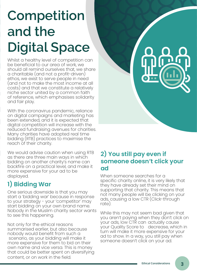## **Competition and the Digital Space**

Whilst a healthy level of competition can be beneficial to our area of work, we should all remind ourselves that, we share a charitable (and not a profit-driven) ethos, we exist to serve people in need (and not to make the most income at all costs) and that we constitute a relatively niche sector united by a common faith of reference, which emphasises solidarity and fair play.

With the coronavirus pandemic, reliance on digital campaigns and marketing has been extended, and it is expected that digital competition will increase with the reduced fundraising avenues for charities. Many charities have adopted real time bidding (RTB) practices to maximise the reach of their charity.

We would advise caution when using RTB as there are three main ways in which bidding on another charity's name can backfire on a practical level, and make it more expensive for your ad to be displayed. When someone searches for a

#### **1) Bidding War**

One serious downside is that you may start a 'bidding war' because in response to your strategy - your 'competitor' may start bidding on your own brand name. Nobody in the Muslim charity sector wants to see this happening.

Not only for the ethical reasons summarised earlier, but also because nobody would benefit from such a scenario, as your bidding will make it more expensive for them to bid on their own name and vice versa. This is money that could be better spent on diversifying content, or on work in the field.

#### **2) You still pay even if someone doesn't click your ad**

specific charity online, it is very likely that they have already set their mind on supporting that charity. This means that not many people will be clicking on your ads, causing a low CTR (Click-through rate).

While this may not seem bad given that you aren't paying when they don't click on your ads, low CTR can actually cause your Quality Score to decrease, which in turn will make it more expensive for your ad to show. In a way, you still pay when someone doesn't click on your ad.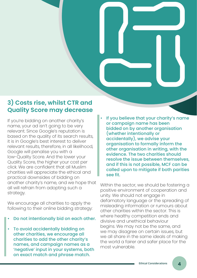#### **3) Costs rise, whilst CTR and Quality Score may decrease**

If you're bidding on another charity's name, your ad isn't going to be very relevant. Since Google's reputation is based on the quality of its search results, it is in Google's best interest to deliver relevant results, therefore, in all likelihood, Google will penalise you with a low-Quality Score. And the lower your Quality Score, the higher your cost per click. We are confident that all Muslim charities will appreciate the ethical and practical downsides of bidding on another charity's name, and we hope that all will refrain from adopting such a strategy.

We encourage all charities to apply the following to their online bidding strategy:

- Do not intentionally bid on each other.
- To avoid accidentally bidding on other charities, we encourage all charities to add the other charity's names, and campaign names as a 'negative' input in your systems, both on exact match and phrase match.

If you believe that your charity's name or campaign name has been bidded on by another organisation (whether intentionally or accidentally), we advise your organisation to formally inform the other organisation in writing, with the evidence. The two charities should resolve the issue between themselves, and if this is not possible, MCF can be called upon to mitigate if both parities see fit.

Within the sector, we should be fostering a positive environment of cooperation and unity. We should not engage in defamatory language or the spreading of misleading information or rumours about other charities within the sector. This is where healthy competition ends and divisive and unethical behaviour begins. We may not be the same, and we may disagree on certain issues, but we all share in the same ideals of making the world a fairer and safer place for the most vulnerable.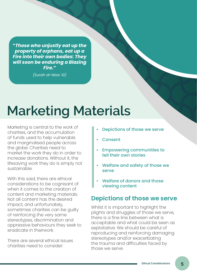*"Those who unjustly eat up the property of orphans, eat up a Fire into their own bodies: They will soon be enduring a Blazing Fire."* 

*(Surah al-Nisa: 10)*

### **Marketing Materials**

Marketing is central to the work of charities, and the accumulation of funds used to help vulnerable and marginalised people across the globe. Charities need to market the work they do in order to increase donations. Without it, the lifesaving work they do is simply not sustainable.

With this said, there are ethical considerations to be cognisant of when it comes to the creation of content and marketing materials. Not all content has the desired impact, and unfortunately, sometimes charities can be guilty of reinforcing the very same stereotypes, discrimination and oppressive behaviours they seek to eradicate in theirwork.

There are several ethical issues charities need to consider:

- Depictions of those we serve
- **Consent**
- Empowering communities to tell their own stories
- Welfare and safety of those we serve
- Welfare of donors and those viewing content

#### **Depictions of those we serve**

Whilst it is important to highlight the plights and struggles of those we serve, there is a fine line between what is acceptable and what could be seen as exploitative. We should be careful of reproducing and reinforcing damaging stereotypes and/or exacerbating the trauma and difficulties faced by those we serve.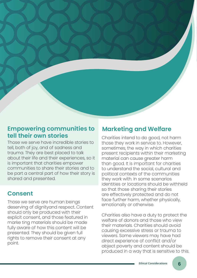#### **Empowering communities to tell their own stories**

Those we serve have incredible stories to tell, both of joy, and of sadness and trauma. They are best placed to talk about their life and their experiences, so it is important that charities empower communities to share their stories and to be part a central part of how their story is shared and presented.

#### **Consent**

Those we serve are human beings deserving of dignityand respect. Content should only be produced with their explicit consent, and those featured in marke ting materials should be made fully aware of how this content will be presented. They should be given full rights to remove their consent at any point.

#### **Marketing and Welfare**

Charities intend to do good, not harm those they work in service to. However, sometimes, the way in which charities present recipients within their marketing material can cause greater harm than good. It is important for charities to understand the social, cultural and political contexts of the communities they work with. In some scenarios identities or locations should be withheld so that those sharing their stories are effectively protected and do not face further harm, whether physically, emotionally or otherwise.

Charities also have a duty to protect the welfare of donors and those who view their materials. Charities should avoid causing excessive stress or trauma to viewers. Some viewers may have had direct experience of conflict and/or abject poverty and content should be produced in a way that is sensitive to this.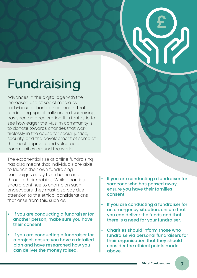## **Fundraising**

Advances in the digital age with the increased use of social media by faith-based charities has meant that fundraising, specifically online fundraising, has seen an acceleration. It is fantastic to see how eager the Muslim community is to donate towards charities that work tirelessly in the cause for social justice, security, and the development of some of the most deprived and vulnerable communities around the world.

The exponential rise of online fundraising has also meant that individuals are able to launch their own fundraising campaigns easily from home and through their mobiles. While charities should continue to champion such endeavours, they must also pay due attention to the ethical considerations that arise from this, such as:

- If you are conducting a fundraiser for another person, make sure you have their consent.
- If you are conducting a fundraiser for a project, ensure you have a detailed plan and have researched how you can deliver the money raised.

• If you are conducting a fundraiser for someone who has passed away, ensure you have their families consent.

**£**

- If you are conducting a fundraiser for an emergency situation, ensure that you can deliver the funds and that there is a need for your fundraiser.
- Charities should inform those who fundraise via personal fundraisers for their organisation that they should consider the ethical points made above.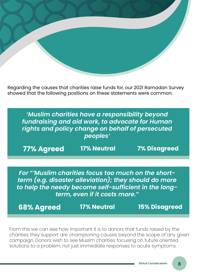Regarding the causes that charities raise funds for, our 2021 Ramadan Survey showed that the following positions on these statements were common:

*'Muslim charities have a responsibility beyond fundraising and aid work, to advocate for Human rights and policy change on behalf of persecuted peoples'* 

**77% Agreed 17% Neutral 7% Disagreed**

*For "'Muslim charities focus too much on the shortterm (e.g. disaster alleviation); they should do more to help the needy become self-sufficient in the longterm, even if it costs more."*

**68% Agreed 17% Neutral 15% Disagreed**

From this we can see how important it is to donors that funds raised by the charities they support are championing causes beyond the scope of any given campaign. Donors wish to see Muslim charities focusing on future oriented solutions to a problem, not just immediate responses to acute symptoms.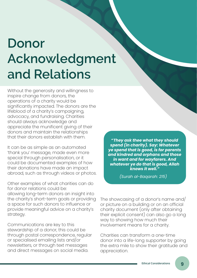## **Donor Acknowledgment and Relations**

Without the generosity and willingness to inspire change from donors, the operations of a charity would be significantly impacted. The donors are the lifeblood of a charity's campaigning, advocacy, and fundraising. Charities should always acknowledge and appreciate the munificent giving of their donors and maintain the relationships that their donors establish with them.

It can be as simple as an automated 'thank you' message, made even more special through personalisation, or it could be documented examples of how their donations have made an impact abroad, such as through videos or photos.

Other examples of what charities can do for donor relations could be: allowing long-term donors an insight into the charity's short-term goals or providing a space for such donors to influence or provide meaningful advice on a charity's strategy.

Communications are key to this stewardship of a donor, this could be through postal correspondence, regular or specialised emailing lists and/or newsletters, or through text messages and direct messages on social media.

*"They ask thee what they should spend (in charity). Say: Whatever ye spend that is good, is for parents and kindred and orphans and those in want and for wayfarers. And whatever ye do that is good, Allah knows it well."*

*(Surah al-Baqarah: 215)*

The showcasing of a donor's name and/ or picture on a building or on an official charity document (only after obtaining their explicit consent) can also go a long way to showing how much their involvement means for a charity.

Charities can transform a one-time donor into a life-long supporter by going the extra mile to show their gratitude and appreciation.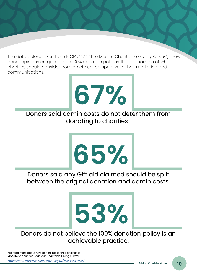The data below, taken from MCF's 2021 "The Muslim Charitable Giving Survey", shows donor opinions on gift aid and 100% donation policies. It is an example of what charities should consider from an ethical perspective in their marketing and communications.

## **67%**

Donors said admin costs do not deter them from donating to charities .

# **65%**

Donors said any Gift aid claimed should be split between the original donation and admin costs.

#### Donors do not believe the 100% donation policy is an achievable practice.

**53%**

\*To read more about how donors make their choices to donate to charities, read our Charitable Giving survey:

*<https://www.muslimcharitiesforum.org.uk/mcf-resources/>*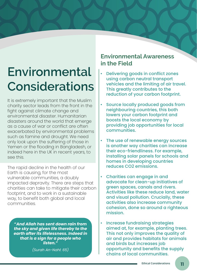## **Environmental Considerations**

It is extremely important that the Muslim charity sector leads from the front in the fight against climate change and environmental disaster. Humanitarian disasters around the world that emerge as a cause of war or conflict are often exacerbated by environmental problems such as famine and drought. We need only look upon the suffering of those in Yemen or the flooding in Bangladesh, or indeed here in the UK in recent years, to see this.

The rapid decline in the health of our Earth is causing, for the most vulnerable communities, a doubly impacted depravity. There are steps that charities can take to mitigate their carbon footprint, and to work in a sustainable way, to benefit both global and local communities.

*"And Allah has sent down rain from the sky and given life thereby to the earth after its lifelessness. Indeed in that is a sign for a people who listen."* 

*(Surah An-Nahl: 65)*

#### **Environmental Awareness in the Field**

- Delivering goods in conflict zones using carbon neutral transport vehicles and the limiting of air travel. This greatly contributes to the reduction of your carbon footprint.
- Source locally produced goods from neighbouring countries, this both lowers your carbon footprint and boosts the local economy by providing job opportunities for local communities.
- The use of renewable energy sources is another way charities can increase their eco-friendliness. For example, installing solar panels for schools and homes in developing countries reduces CO2 emissions.
- Charities can engage in and advocate for clean-up initiatives of green spaces, canals and rivers. Activities like these reduce land, water and visual pollution. Crucially, these activities also increase community cohesion, done so around a righteous mission.
- Increase fundraising strategies aimed at, for example, planting trees. This not only improves the quality of air and provides habitats for animals and birds but increases job opportunity and benefits the supply chains of local communities.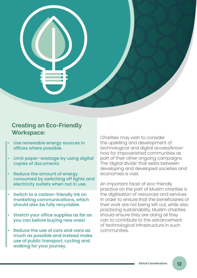

#### **Creating an Eco-Friendly Workspace:**

- Use renewable energy sources in offices where possible.
- Limit paper-wastage by using digital copies of documents.
- Reduce the amount of energy consumed by switching off lights and electricity outlets when not in use.
- Switch to a carbon-friendly ink on marketing communications, which should also be fully recyclable.
- Stretch your office supplies as far as you can before buying new ones!
- Reduce the use of cars and vans as much as possible and instead make use of public transport, cycling and walking for your journey.

Charities may wish to consider the upskilling and development of technological and digital access/knowhow for impoverished communities as part of their other ongoing campaigns. The 'digital divide' that exists between developing and developed societies and economies is vast.

An important facet of eco-friendly practice on the part of Muslim charities is the digitisation of resources and services. In order to ensure that the beneficiaries of their work are not being left out, while also practicing sustainability, Muslim charities should ensure they are doing all they can to contribute to the advancement of technological infrastructure in such communities.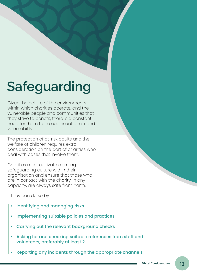## **Safeguarding**

Given the nature of the environments within which charities operate, and the vulnerable people and communities that they strive to benefit, there is a constant need for them to be cognisant of risk and vulnerability.

The protection of at-risk adults and the welfare of children requires extra consideration on the part of charities who deal with cases that involve them.

Charities must cultivate a strong safeguarding culture within their organisation and ensure that those who are in contact with the charity, in any capacity, are always safe from harm.

They can do so by:

- Identifying and managing risks
- Implementing suitable policies and practices
- Carrying out the relevant background checks
- Asking for and checking suitable references from staff and volunteers, preferably at least 2
- Reporting any incidents through the appropriate channels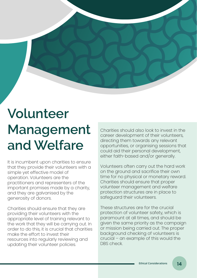## **Volunteer Management and Welfare**

It is incumbent upon charities to ensure that they provide their volunteers with a simple yet effective model of operation. Volunteers are the practitioners and representers of the important promises made by a charity, and they are galvanised by the generosity of donors.

Charities should ensure that they are providing their volunteers with the appropriate level of training relevant to the work that they will be carrying out. In order to do this, it is crucial that charities make the effort to invest their resources into regularly reviewing and updating their volunteer policies.

Charities should also look to invest in the career development of their volunteers, directing them towards any relevant opportunities, or organising sessions that could aid their personal development, either faith-based and/or generally.

Volunteers often carry out the hard work on the ground and sacrifice their own time for no physical or monetary reward. Charities should ensure that proper volunteer management and welfare protection structures are in place to safeguard their volunteers.

These structures are for the crucial protection of volunteer safety, which is paramount at all times, and should be given the same priority as the campaign or mission being carried out. The proper background checking of volunteers is crucial – an example of this would the DBS check.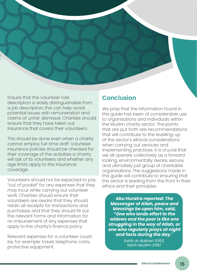Ensure that the volunteer role description is easily distinguishable from a job description, this can help avoid potential issues with remuneration and claims of unfair dismissal. Charities should ensure that they have taken out Insurance that covers their volunteers.

This should be done even when a charity cannot employ full-time staff. Volunteer insurance policies should be checked for their coverage of the activities a charity will ask of its volunteers and whether any age limits apply to the insurance coverage.

Volunteers should not be expected to pay "out of pocket" for any expenses that they may incur while carrying out volunteer work. Charities should ensure that volunteers are aware that they should retain all receipts for transactions and purchases, and that they should fill out the relevant forms and information for re-imbursement of any expenses that apply to the charity's finance policy.

Relevant expenses for a volunteer could be, for example: travel, telephone costs, protective equipment.

#### **Conclusion**

We pray that the information found in this guide has been of considerable use to organisations and individuals within the Muslim charity sector. The points that are put forth are recommendations that will contribute to the levelling-up of the sector's ethical considerations when carrying out services and implementing practices. It is crucial that we all operate collectively as a forward looking, environmentally aware, secure, and ultimately just group of charitable organisations. The suggestions made in this guide will contribute to ensuring that the sector is leading from the front in their ethics and their principles.

*Abu Huraira reported: The Messenger of Allah, peace and blessings be upon him, said, "One who lends effort to the widows and the poor is like one struggling in the way of Allah, or one who regularly prays at night and fasts during the day."*

> *Sahih Al-Bukhari 5353, Sahih Muslim 2982*